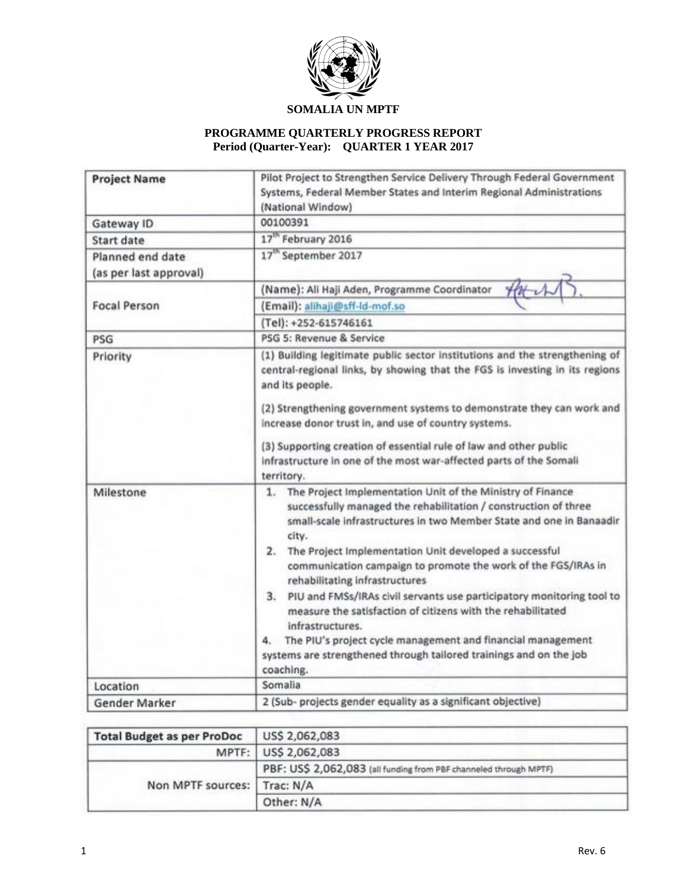

## **PROGRAMME QUARTERLY PROGRESS REPORT Period (Quarter-Year): QUARTER 1 YEAR 2017**

| <b>Project Name</b>                        | Pilot Project to Strengthen Service Delivery Through Federal Government<br>Systems, Federal Member States and Interim Regional Administrations<br>(National Window)                                                                                                                                                                                                                                                                                                                                                                                                                                                                                                                                              |  |  |
|--------------------------------------------|------------------------------------------------------------------------------------------------------------------------------------------------------------------------------------------------------------------------------------------------------------------------------------------------------------------------------------------------------------------------------------------------------------------------------------------------------------------------------------------------------------------------------------------------------------------------------------------------------------------------------------------------------------------------------------------------------------------|--|--|
| Gateway ID                                 | 00100391                                                                                                                                                                                                                                                                                                                                                                                                                                                                                                                                                                                                                                                                                                         |  |  |
| Start date                                 | 17 <sup>th</sup> February 2016                                                                                                                                                                                                                                                                                                                                                                                                                                                                                                                                                                                                                                                                                   |  |  |
| Planned end date<br>(as per last approval) | 17 <sup>th</sup> September 2017                                                                                                                                                                                                                                                                                                                                                                                                                                                                                                                                                                                                                                                                                  |  |  |
|                                            | (Name): Ali Haji Aden, Programme Coordinator                                                                                                                                                                                                                                                                                                                                                                                                                                                                                                                                                                                                                                                                     |  |  |
| <b>Focal Person</b>                        | (Email): alihaji@sff-ld-mof.so                                                                                                                                                                                                                                                                                                                                                                                                                                                                                                                                                                                                                                                                                   |  |  |
|                                            | (Tel): +252-615746161                                                                                                                                                                                                                                                                                                                                                                                                                                                                                                                                                                                                                                                                                            |  |  |
| PSG                                        | PSG 5: Revenue & Service                                                                                                                                                                                                                                                                                                                                                                                                                                                                                                                                                                                                                                                                                         |  |  |
| Priority                                   | (1) Building legitimate public sector institutions and the strengthening of<br>central-regional links, by showing that the FGS is investing in its regions<br>and its people.<br>(2) Strengthening government systems to demonstrate they can work and<br>increase donor trust in, and use of country systems.<br>(3) Supporting creation of essential rule of law and other public<br>infrastructure in one of the most war-affected parts of the Somali<br>territory.                                                                                                                                                                                                                                          |  |  |
| Milestone                                  | The Project Implementation Unit of the Ministry of Finance<br>1.<br>successfully managed the rehabilitation / construction of three<br>small-scale infrastructures in two Member State and one in Banaadir<br>city.<br>The Project Implementation Unit developed a successful<br>2.<br>communication campaign to promote the work of the FGS/IRAs in<br>rehabilitating infrastructures<br>PIU and FMSs/IRAs civil servants use participatory monitoring tool to<br>3.<br>measure the satisfaction of citizens with the rehabilitated<br>infrastructures.<br>The PIU's project cycle management and financial management<br>4.<br>systems are strengthened through tailored trainings and on the job<br>coaching. |  |  |
| Location                                   | Somalia                                                                                                                                                                                                                                                                                                                                                                                                                                                                                                                                                                                                                                                                                                          |  |  |
| Gender Marker                              | 2 (Sub- projects gender equality as a significant objective)                                                                                                                                                                                                                                                                                                                                                                                                                                                                                                                                                                                                                                                     |  |  |

| <b>Total Budget as per ProDoc</b> | US\$ 2,062,083                                                    |  |
|-----------------------------------|-------------------------------------------------------------------|--|
| MPTF:                             | US\$ 2,062,083                                                    |  |
| Non MPTF sources:   Trac: N/A     | PBF: US\$ 2,062,083 (all funding from PBF channeled through MPTF) |  |
|                                   |                                                                   |  |
|                                   | Other: N/A                                                        |  |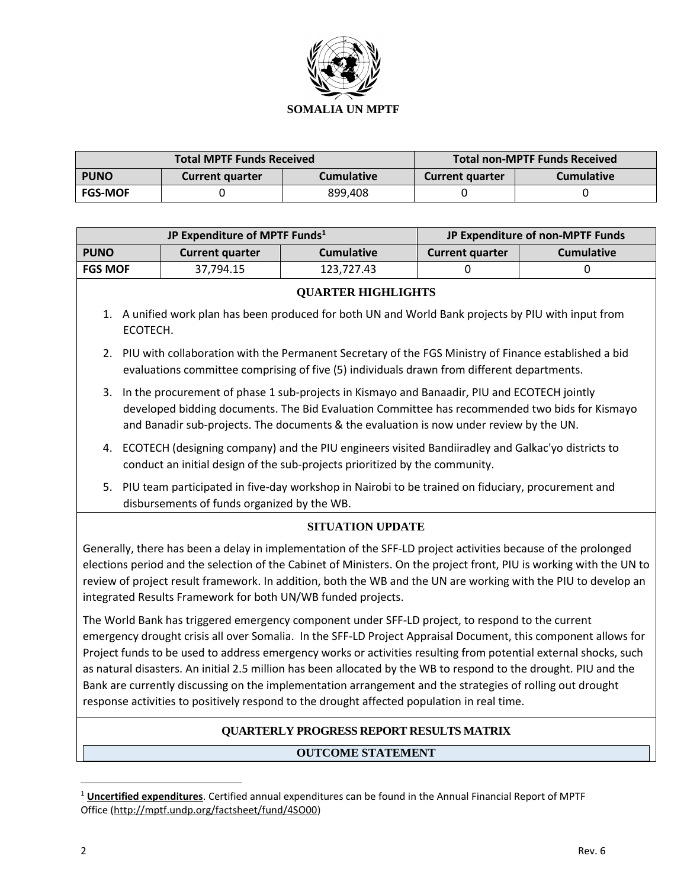

| <b>Total MPTF Funds Received</b> |                                             |         |                        | <b>Total non-MPTF Funds Received</b> |
|----------------------------------|---------------------------------------------|---------|------------------------|--------------------------------------|
| <b>PUNO</b>                      | <b>Cumulative</b><br><b>Current quarter</b> |         | <b>Current quarter</b> | <b>Cumulative</b>                    |
| <b>FGS-MOF</b>                   |                                             | 899,408 |                        |                                      |

| JP Expenditure of MPTF Funds <sup>1</sup>                                                                                                                                                                                                                                                                                                                                                                                                                                                                                                                                                                                                                             |                                                                                                                                                                                  |                                                                                                                                                                                                                                                                                          | JP Expenditure of non-MPTF Funds |                   |
|-----------------------------------------------------------------------------------------------------------------------------------------------------------------------------------------------------------------------------------------------------------------------------------------------------------------------------------------------------------------------------------------------------------------------------------------------------------------------------------------------------------------------------------------------------------------------------------------------------------------------------------------------------------------------|----------------------------------------------------------------------------------------------------------------------------------------------------------------------------------|------------------------------------------------------------------------------------------------------------------------------------------------------------------------------------------------------------------------------------------------------------------------------------------|----------------------------------|-------------------|
| <b>PUNO</b>                                                                                                                                                                                                                                                                                                                                                                                                                                                                                                                                                                                                                                                           | <b>Current quarter</b>                                                                                                                                                           | <b>Cumulative</b>                                                                                                                                                                                                                                                                        | <b>Current quarter</b>           | <b>Cumulative</b> |
| <b>FGS MOF</b>                                                                                                                                                                                                                                                                                                                                                                                                                                                                                                                                                                                                                                                        | 37,794.15                                                                                                                                                                        | 123,727.43                                                                                                                                                                                                                                                                               | $\Omega$                         | $\mathbf 0$       |
|                                                                                                                                                                                                                                                                                                                                                                                                                                                                                                                                                                                                                                                                       |                                                                                                                                                                                  | <b>QUARTER HIGHLIGHTS</b>                                                                                                                                                                                                                                                                |                                  |                   |
| ECOTECH.                                                                                                                                                                                                                                                                                                                                                                                                                                                                                                                                                                                                                                                              |                                                                                                                                                                                  | 1. A unified work plan has been produced for both UN and World Bank projects by PIU with input from                                                                                                                                                                                      |                                  |                   |
| 2.                                                                                                                                                                                                                                                                                                                                                                                                                                                                                                                                                                                                                                                                    |                                                                                                                                                                                  | PIU with collaboration with the Permanent Secretary of the FGS Ministry of Finance established a bid<br>evaluations committee comprising of five (5) individuals drawn from different departments.                                                                                       |                                  |                   |
| 3.                                                                                                                                                                                                                                                                                                                                                                                                                                                                                                                                                                                                                                                                    |                                                                                                                                                                                  | In the procurement of phase 1 sub-projects in Kismayo and Banaadir, PIU and ECOTECH jointly<br>developed bidding documents. The Bid Evaluation Committee has recommended two bids for Kismayo<br>and Banadir sub-projects. The documents & the evaluation is now under review by the UN. |                                  |                   |
| 4.                                                                                                                                                                                                                                                                                                                                                                                                                                                                                                                                                                                                                                                                    | ECOTECH (designing company) and the PIU engineers visited Bandiiradley and Galkac'yo districts to<br>conduct an initial design of the sub-projects prioritized by the community. |                                                                                                                                                                                                                                                                                          |                                  |                   |
| 5.                                                                                                                                                                                                                                                                                                                                                                                                                                                                                                                                                                                                                                                                    | disbursements of funds organized by the WB.                                                                                                                                      | PIU team participated in five-day workshop in Nairobi to be trained on fiduciary, procurement and                                                                                                                                                                                        |                                  |                   |
|                                                                                                                                                                                                                                                                                                                                                                                                                                                                                                                                                                                                                                                                       |                                                                                                                                                                                  | <b>SITUATION UPDATE</b>                                                                                                                                                                                                                                                                  |                                  |                   |
| Generally, there has been a delay in implementation of the SFF-LD project activities because of the prolonged<br>elections period and the selection of the Cabinet of Ministers. On the project front, PIU is working with the UN to<br>review of project result framework. In addition, both the WB and the UN are working with the PIU to develop an<br>integrated Results Framework for both UN/WB funded projects.                                                                                                                                                                                                                                                |                                                                                                                                                                                  |                                                                                                                                                                                                                                                                                          |                                  |                   |
| The World Bank has triggered emergency component under SFF-LD project, to respond to the current<br>emergency drought crisis all over Somalia. In the SFF-LD Project Appraisal Document, this component allows for<br>Project funds to be used to address emergency works or activities resulting from potential external shocks, such<br>as natural disasters. An initial 2.5 million has been allocated by the WB to respond to the drought. PIU and the<br>Bank are currently discussing on the implementation arrangement and the strategies of rolling out drought<br>response activities to positively respond to the drought affected population in real time. |                                                                                                                                                                                  |                                                                                                                                                                                                                                                                                          |                                  |                   |

## **QUARTERLY PROGRESS REPORT RESULTS MATRIX**

## **OUTCOME STATEMENT**

 $\overline{a}$ 

<sup>1</sup> **Uncertified expenditures**. Certified annual expenditures can be found in the Annual Financial Report of MPTF Office [\(http://mptf.undp.org/factsheet/fund/4SO00\)](http://mptf.undp.org/factsheet/fund/4SO00)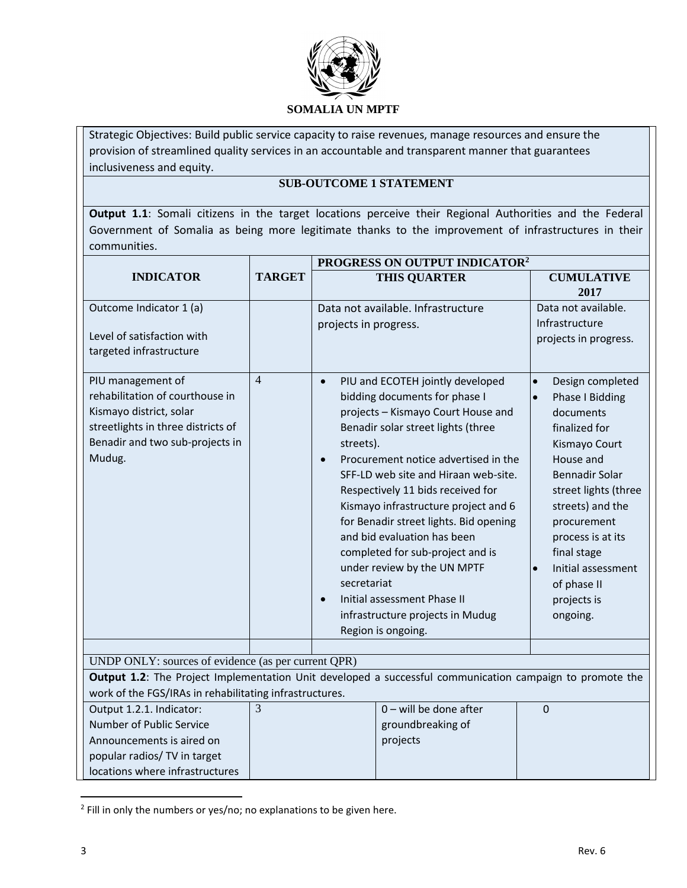

Strategic Objectives: Build public service capacity to raise revenues, manage resources and ensure the provision of streamlined quality services in an accountable and transparent manner that guarantees inclusiveness and equity.

## **SUB-OUTCOME 1 STATEMENT**

**Output 1.1**: Somali citizens in the target locations perceive their Regional Authorities and the Federal Government of Somalia as being more legitimate thanks to the improvement of infrastructures in their communities.

|                                                                                                                                                                    |                | PROGRESS ON OUTPUT INDICATOR <sup>2</sup>          |                                                                                                                                                                                                                                                                                                                                                                                                                                                                                                                                                 |                                                                                                                                                                                                                                                                                                                         |
|--------------------------------------------------------------------------------------------------------------------------------------------------------------------|----------------|----------------------------------------------------|-------------------------------------------------------------------------------------------------------------------------------------------------------------------------------------------------------------------------------------------------------------------------------------------------------------------------------------------------------------------------------------------------------------------------------------------------------------------------------------------------------------------------------------------------|-------------------------------------------------------------------------------------------------------------------------------------------------------------------------------------------------------------------------------------------------------------------------------------------------------------------------|
| <b>INDICATOR</b>                                                                                                                                                   | <b>TARGET</b>  |                                                    | <b>THIS QUARTER</b>                                                                                                                                                                                                                                                                                                                                                                                                                                                                                                                             | <b>CUMULATIVE</b><br>2017                                                                                                                                                                                                                                                                                               |
| Outcome Indicator 1 (a)                                                                                                                                            |                |                                                    | Data not available. Infrastructure                                                                                                                                                                                                                                                                                                                                                                                                                                                                                                              | Data not available.                                                                                                                                                                                                                                                                                                     |
| Level of satisfaction with<br>targeted infrastructure                                                                                                              |                | projects in progress.                              |                                                                                                                                                                                                                                                                                                                                                                                                                                                                                                                                                 | Infrastructure<br>projects in progress.                                                                                                                                                                                                                                                                                 |
| PIU management of<br>rehabilitation of courthouse in<br>Kismayo district, solar<br>streetlights in three districts of<br>Benadir and two sub-projects in<br>Mudug. | $\overline{4}$ | $\bullet$<br>streets).<br>secretariat<br>$\bullet$ | PIU and ECOTEH jointly developed<br>bidding documents for phase I<br>projects - Kismayo Court House and<br>Benadir solar street lights (three<br>Procurement notice advertised in the<br>SFF-LD web site and Hiraan web-site.<br>Respectively 11 bids received for<br>Kismayo infrastructure project and 6<br>for Benadir street lights. Bid opening<br>and bid evaluation has been<br>completed for sub-project and is<br>under review by the UN MPTF<br>Initial assessment Phase II<br>infrastructure projects in Mudug<br>Region is ongoing. | Design completed<br>$\bullet$<br>Phase I Bidding<br>$\bullet$<br>documents<br>finalized for<br>Kismayo Court<br>House and<br>Bennadir Solar<br>street lights (three<br>streets) and the<br>procurement<br>process is at its<br>final stage<br>Initial assessment<br>$\bullet$<br>of phase II<br>projects is<br>ongoing. |
| UNDP ONLY: sources of evidence (as per current QPR)                                                                                                                |                |                                                    |                                                                                                                                                                                                                                                                                                                                                                                                                                                                                                                                                 |                                                                                                                                                                                                                                                                                                                         |
| Output 1.2: The Project Implementation Unit developed a successful communication campaign to promote the                                                           |                |                                                    |                                                                                                                                                                                                                                                                                                                                                                                                                                                                                                                                                 |                                                                                                                                                                                                                                                                                                                         |
| work of the FGS/IRAs in rehabilitating infrastructures.                                                                                                            |                |                                                    |                                                                                                                                                                                                                                                                                                                                                                                                                                                                                                                                                 |                                                                                                                                                                                                                                                                                                                         |
| Output 1.2.1. Indicator:                                                                                                                                           | 3              |                                                    | $0$ – will be done after                                                                                                                                                                                                                                                                                                                                                                                                                                                                                                                        | $\Omega$                                                                                                                                                                                                                                                                                                                |
| Number of Public Service                                                                                                                                           |                |                                                    | groundbreaking of                                                                                                                                                                                                                                                                                                                                                                                                                                                                                                                               |                                                                                                                                                                                                                                                                                                                         |
| Announcements is aired on                                                                                                                                          |                |                                                    | projects                                                                                                                                                                                                                                                                                                                                                                                                                                                                                                                                        |                                                                                                                                                                                                                                                                                                                         |
| popular radios/ TV in target                                                                                                                                       |                |                                                    |                                                                                                                                                                                                                                                                                                                                                                                                                                                                                                                                                 |                                                                                                                                                                                                                                                                                                                         |
| locations where infrastructures                                                                                                                                    |                |                                                    |                                                                                                                                                                                                                                                                                                                                                                                                                                                                                                                                                 |                                                                                                                                                                                                                                                                                                                         |

 $2$  Fill in only the numbers or yes/no; no explanations to be given here.

 $\overline{\phantom{a}}$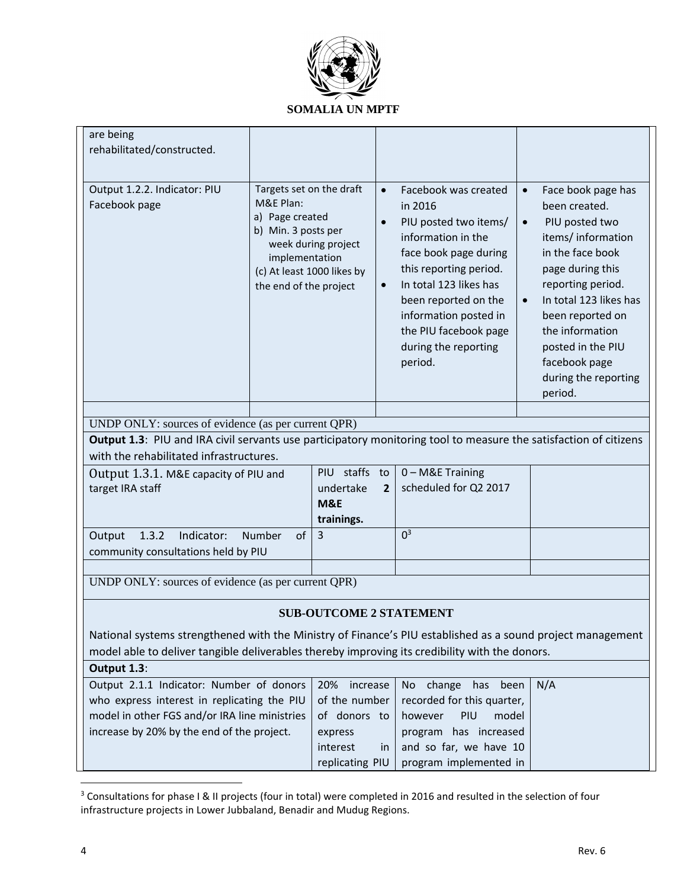

| are being                                                                                                                                                               |                            |                                |                |                            |                                     |
|-------------------------------------------------------------------------------------------------------------------------------------------------------------------------|----------------------------|--------------------------------|----------------|----------------------------|-------------------------------------|
| rehabilitated/constructed.                                                                                                                                              |                            |                                |                |                            |                                     |
|                                                                                                                                                                         |                            |                                |                |                            |                                     |
| Output 1.2.2. Indicator: PIU                                                                                                                                            | Targets set on the draft   |                                | $\bullet$      | Facebook was created       | Face book page has<br>$\bullet$     |
| Facebook page                                                                                                                                                           | M&E Plan:                  |                                |                | in 2016                    | been created.                       |
|                                                                                                                                                                         | a) Page created            |                                | $\bullet$      | PIU posted two items/      | PIU posted two<br>$\bullet$         |
|                                                                                                                                                                         | b) Min. 3 posts per        |                                |                | information in the         |                                     |
|                                                                                                                                                                         |                            | week during project            |                |                            | items/information                   |
|                                                                                                                                                                         | implementation             |                                |                | face book page during      | in the face book                    |
|                                                                                                                                                                         | (c) At least 1000 likes by |                                |                | this reporting period.     | page during this                    |
|                                                                                                                                                                         | the end of the project     |                                | $\bullet$      | In total 123 likes has     | reporting period.                   |
|                                                                                                                                                                         |                            |                                |                | been reported on the       | In total 123 likes has<br>$\bullet$ |
|                                                                                                                                                                         |                            |                                |                | information posted in      | been reported on                    |
|                                                                                                                                                                         |                            |                                |                | the PIU facebook page      | the information                     |
|                                                                                                                                                                         |                            |                                |                | during the reporting       | posted in the PIU                   |
|                                                                                                                                                                         |                            |                                |                | period.                    | facebook page                       |
|                                                                                                                                                                         |                            |                                |                |                            | during the reporting                |
|                                                                                                                                                                         |                            |                                |                |                            | period.                             |
|                                                                                                                                                                         |                            |                                |                |                            |                                     |
| UNDP ONLY: sources of evidence (as per current QPR)<br>Output 1.3: PIU and IRA civil servants use participatory monitoring tool to measure the satisfaction of citizens |                            |                                |                |                            |                                     |
| with the rehabilitated infrastructures.                                                                                                                                 |                            |                                |                |                            |                                     |
| Output 1.3.1. M&E capacity of PIU and                                                                                                                                   |                            | PIU staffs to                  |                | 0 - M&E Training           |                                     |
| target IRA staff                                                                                                                                                        |                            | undertake                      | $\overline{2}$ | scheduled for Q2 2017      |                                     |
|                                                                                                                                                                         |                            | <b>M&amp;E</b>                 |                |                            |                                     |
|                                                                                                                                                                         |                            | trainings.                     |                |                            |                                     |
| 1.3.2<br>Indicator:<br>of<br>Output<br><b>Number</b>                                                                                                                    |                            | 3                              |                | 0 <sup>3</sup>             |                                     |
| community consultations held by PIU                                                                                                                                     |                            |                                |                |                            |                                     |
|                                                                                                                                                                         |                            |                                |                |                            |                                     |
| UNDP ONLY: sources of evidence (as per current QPR)                                                                                                                     |                            |                                |                |                            |                                     |
|                                                                                                                                                                         |                            | <b>SUB-OUTCOME 2 STATEMENT</b> |                |                            |                                     |
| National systems strengthened with the Ministry of Finance's PIU established as a sound project management                                                              |                            |                                |                |                            |                                     |
| model able to deliver tangible deliverables thereby improving its credibility with the donors.                                                                          |                            |                                |                |                            |                                     |
| Output 1.3:                                                                                                                                                             |                            |                                |                |                            |                                     |
| Output 2.1.1 Indicator: Number of donors                                                                                                                                |                            | 20%<br>increase                |                | change has<br>been<br>No   | N/A                                 |
| who express interest in replicating the PIU                                                                                                                             |                            | of the number                  |                | recorded for this quarter, |                                     |
| model in other FGS and/or IRA line ministries                                                                                                                           |                            | of donors to                   |                | PIU<br>model<br>however    |                                     |
| increase by 20% by the end of the project.                                                                                                                              |                            | express                        |                | program has increased      |                                     |
|                                                                                                                                                                         |                            | interest                       | in.            | and so far, we have 10     |                                     |
|                                                                                                                                                                         |                            | replicating PIU                |                | program implemented in     |                                     |
|                                                                                                                                                                         |                            |                                |                |                            |                                     |

<sup>&</sup>lt;sup>3</sup> Consultations for phase I & II projects (four in total) were completed in 2016 and resulted in the selection of four infrastructure projects in Lower Jubbaland, Benadir and Mudug Regions.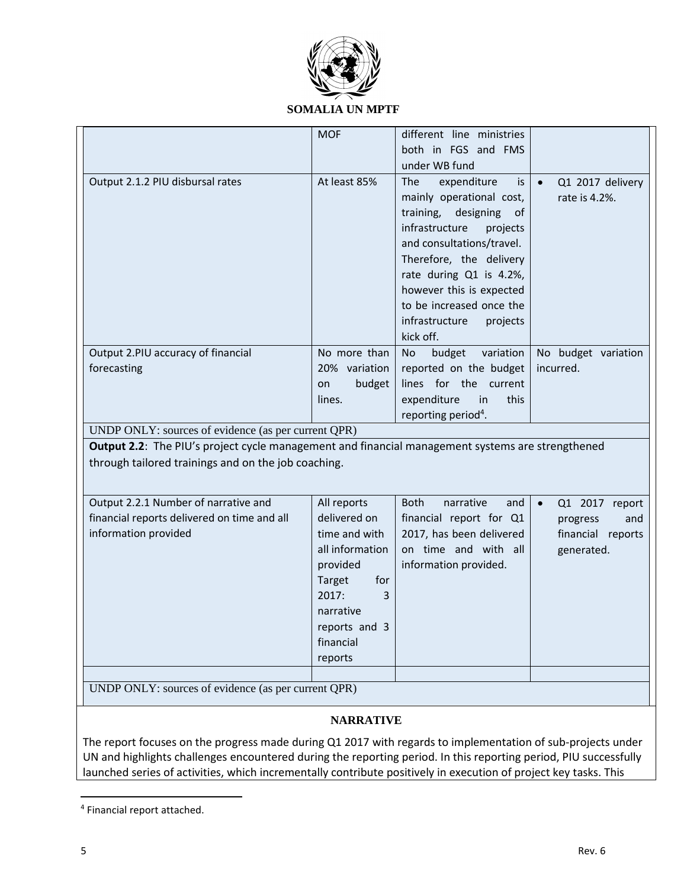

### **SOMALIA UN MPTF**

|                                                                                                  | <b>MOF</b>                                                                                                                                        | different line ministries                                                                                                                                                                                                                                                                                           |                                                    |
|--------------------------------------------------------------------------------------------------|---------------------------------------------------------------------------------------------------------------------------------------------------|---------------------------------------------------------------------------------------------------------------------------------------------------------------------------------------------------------------------------------------------------------------------------------------------------------------------|----------------------------------------------------|
|                                                                                                  |                                                                                                                                                   | both in FGS and FMS                                                                                                                                                                                                                                                                                                 |                                                    |
|                                                                                                  |                                                                                                                                                   | under WB fund                                                                                                                                                                                                                                                                                                       |                                                    |
| Output 2.1.2 PIU disbursal rates                                                                 | At least 85%                                                                                                                                      | The<br>expenditure<br>is<br>mainly operational cost,<br>training,<br>designing<br><sub>of</sub><br>infrastructure<br>projects<br>and consultations/travel.<br>Therefore, the delivery<br>rate during Q1 is 4.2%,<br>however this is expected<br>to be increased once the<br>infrastructure<br>projects<br>kick off. | Q1 2017 delivery<br>$\bullet$<br>rate is 4.2%.     |
| Output 2.PIU accuracy of financial<br>forecasting                                                | No more than<br>20% variation<br>budget<br>on<br>lines.                                                                                           | variation<br>budget<br>No<br>reported on the budget<br>lines for the current<br>expenditure<br>this<br>in<br>reporting period <sup>4</sup> .                                                                                                                                                                        | No budget variation<br>incurred.                   |
| UNDP ONLY: sources of evidence (as per current QPR)                                              |                                                                                                                                                   |                                                                                                                                                                                                                                                                                                                     |                                                    |
| Output 2.2: The PIU's project cycle management and financial management systems are strengthened |                                                                                                                                                   |                                                                                                                                                                                                                                                                                                                     |                                                    |
| through tailored trainings and on the job coaching.                                              |                                                                                                                                                   |                                                                                                                                                                                                                                                                                                                     |                                                    |
| Output 2.2.1 Number of narrative and                                                             | All reports                                                                                                                                       | <b>Both</b><br>narrative<br>and                                                                                                                                                                                                                                                                                     | Q1 2017 report<br>$\bullet$                        |
| financial reports delivered on time and all<br>information provided                              | delivered on<br>time and with<br>all information<br>provided<br>Target<br>for<br>2017:<br>3<br>narrative<br>reports and 3<br>financial<br>reports | financial report for Q1<br>2017, has been delivered<br>on time and with all<br>information provided.                                                                                                                                                                                                                | progress<br>and<br>financial reports<br>generated. |
|                                                                                                  |                                                                                                                                                   |                                                                                                                                                                                                                                                                                                                     |                                                    |
| UNDP ONLY: sources of evidence (as per current QPR)                                              |                                                                                                                                                   |                                                                                                                                                                                                                                                                                                                     |                                                    |
|                                                                                                  |                                                                                                                                                   |                                                                                                                                                                                                                                                                                                                     |                                                    |
|                                                                                                  | <b>NARRATIVE</b>                                                                                                                                  |                                                                                                                                                                                                                                                                                                                     |                                                    |

The report focuses on the progress made during Q1 2017 with regards to implementation of sub-projects under UN and highlights challenges encountered during the reporting period. In this reporting period, PIU successfully launched series of activities, which incrementally contribute positively in execution of project key tasks. This

 $\overline{\phantom{a}}$ 

<sup>4</sup> Financial report attached.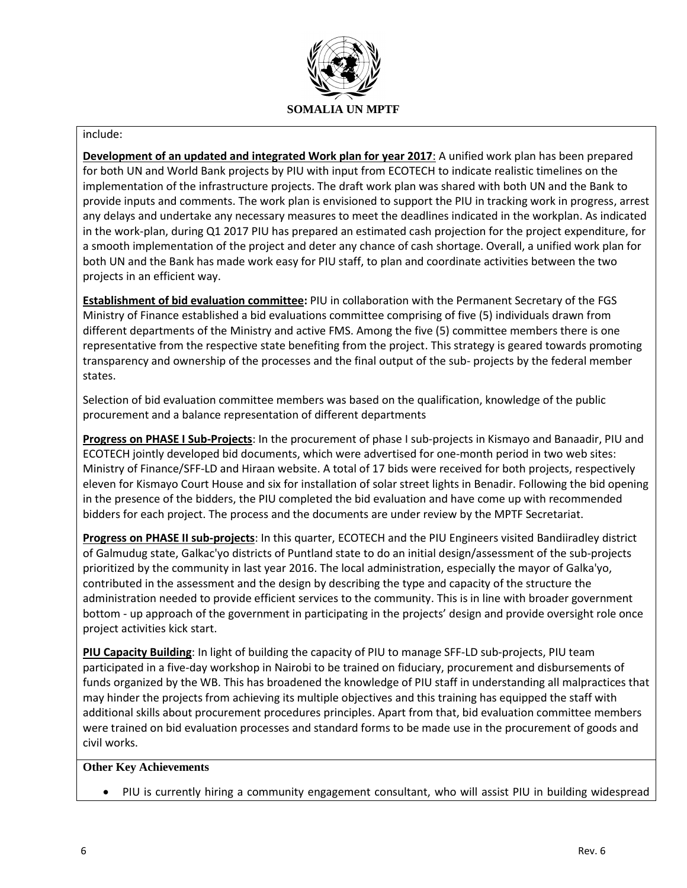

#### include:

**Development of an updated and integrated Work plan for year 2017**: A unified work plan has been prepared for both UN and World Bank projects by PIU with input from ECOTECH to indicate realistic timelines on the implementation of the infrastructure projects. The draft work plan was shared with both UN and the Bank to provide inputs and comments. The work plan is envisioned to support the PIU in tracking work in progress, arrest any delays and undertake any necessary measures to meet the deadlines indicated in the workplan. As indicated in the work-plan, during Q1 2017 PIU has prepared an estimated cash projection for the project expenditure, for a smooth implementation of the project and deter any chance of cash shortage. Overall, a unified work plan for both UN and the Bank has made work easy for PIU staff, to plan and coordinate activities between the two projects in an efficient way.

**Establishment of bid evaluation committee:** PIU in collaboration with the Permanent Secretary of the FGS Ministry of Finance established a bid evaluations committee comprising of five (5) individuals drawn from different departments of the Ministry and active FMS. Among the five (5) committee members there is one representative from the respective state benefiting from the project. This strategy is geared towards promoting transparency and ownership of the processes and the final output of the sub- projects by the federal member states.

Selection of bid evaluation committee members was based on the qualification, knowledge of the public procurement and a balance representation of different departments

**Progress on PHASE I Sub-Projects**: In the procurement of phase I sub-projects in Kismayo and Banaadir, PIU and ECOTECH jointly developed bid documents, which were advertised for one-month period in two web sites: Ministry of Finance/SFF-LD and Hiraan website. A total of 17 bids were received for both projects, respectively eleven for Kismayo Court House and six for installation of solar street lights in Benadir. Following the bid opening in the presence of the bidders, the PIU completed the bid evaluation and have come up with recommended bidders for each project. The process and the documents are under review by the MPTF Secretariat.

**Progress on PHASE II sub-projects**: In this quarter, ECOTECH and the PIU Engineers visited Bandiiradley district of Galmudug state, Galkac'yo districts of Puntland state to do an initial design/assessment of the sub-projects prioritized by the community in last year 2016. The local administration, especially the mayor of Galka'yo, contributed in the assessment and the design by describing the type and capacity of the structure the administration needed to provide efficient services to the community. This is in line with broader government bottom - up approach of the government in participating in the projects' design and provide oversight role once project activities kick start.

**PIU Capacity Building**: In light of building the capacity of PIU to manage SFF-LD sub-projects, PIU team participated in a five-day workshop in Nairobi to be trained on fiduciary, procurement and disbursements of funds organized by the WB. This has broadened the knowledge of PIU staff in understanding all malpractices that may hinder the projects from achieving its multiple objectives and this training has equipped the staff with additional skills about procurement procedures principles. Apart from that, bid evaluation committee members were trained on bid evaluation processes and standard forms to be made use in the procurement of goods and civil works.

#### **Other Key Achievements**

• PIU is currently hiring a community engagement consultant, who will assist PIU in building widespread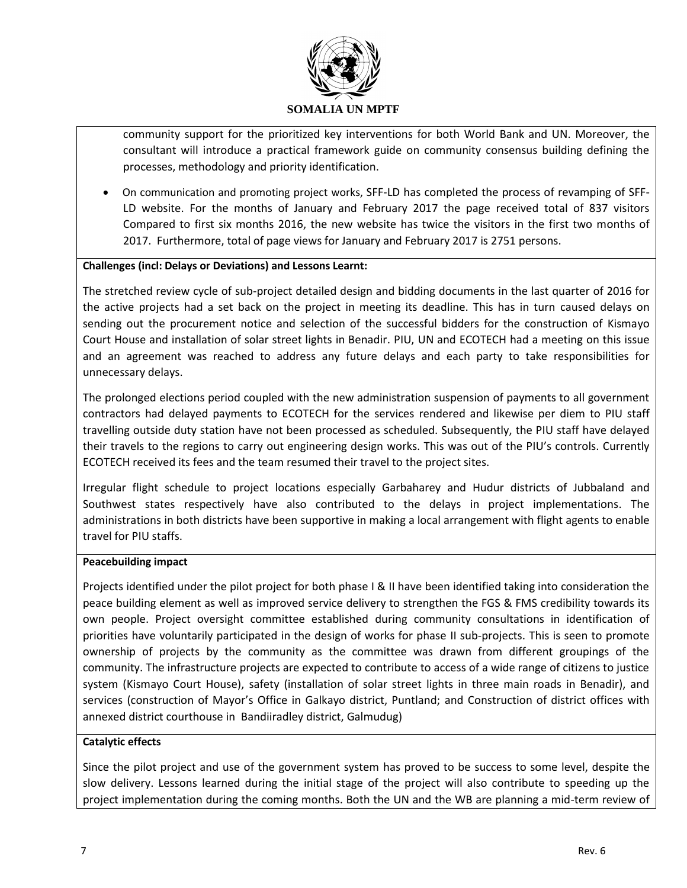

community support for the prioritized key interventions for both World Bank and UN. Moreover, the consultant will introduce a practical framework guide on community consensus building defining the processes, methodology and priority identification.

• On communication and promoting project works, SFF-LD has completed the process of revamping of SFF-LD website. For the months of January and February 2017 the page received total of 837 visitors Compared to first six months 2016, the new website has twice the visitors in the first two months of 2017. Furthermore, total of page views for January and February 2017 is 2751 persons.

### **Challenges (incl: Delays or Deviations) and Lessons Learnt:**

The stretched review cycle of sub-project detailed design and bidding documents in the last quarter of 2016 for the active projects had a set back on the project in meeting its deadline. This has in turn caused delays on sending out the procurement notice and selection of the successful bidders for the construction of Kismayo Court House and installation of solar street lights in Benadir. PIU, UN and ECOTECH had a meeting on this issue and an agreement was reached to address any future delays and each party to take responsibilities for unnecessary delays.

The prolonged elections period coupled with the new administration suspension of payments to all government contractors had delayed payments to ECOTECH for the services rendered and likewise per diem to PIU staff travelling outside duty station have not been processed as scheduled. Subsequently, the PIU staff have delayed their travels to the regions to carry out engineering design works. This was out of the PIU's controls. Currently ECOTECH received its fees and the team resumed their travel to the project sites.

Irregular flight schedule to project locations especially Garbaharey and Hudur districts of Jubbaland and Southwest states respectively have also contributed to the delays in project implementations. The administrations in both districts have been supportive in making a local arrangement with flight agents to enable travel for PIU staffs.

#### **Peacebuilding impact**

Projects identified under the pilot project for both phase I & II have been identified taking into consideration the peace building element as well as improved service delivery to strengthen the FGS & FMS credibility towards its own people. Project oversight committee established during community consultations in identification of priorities have voluntarily participated in the design of works for phase II sub-projects. This is seen to promote ownership of projects by the community as the committee was drawn from different groupings of the community. The infrastructure projects are expected to contribute to access of a wide range of citizens to justice system (Kismayo Court House), safety (installation of solar street lights in three main roads in Benadir), and services (construction of Mayor's Office in Galkayo district, Puntland; and Construction of district offices with annexed district courthouse in Bandiiradley district, Galmudug)

## **Catalytic effects**

Since the pilot project and use of the government system has proved to be success to some level, despite the slow delivery. Lessons learned during the initial stage of the project will also contribute to speeding up the project implementation during the coming months. Both the UN and the WB are planning a mid-term review of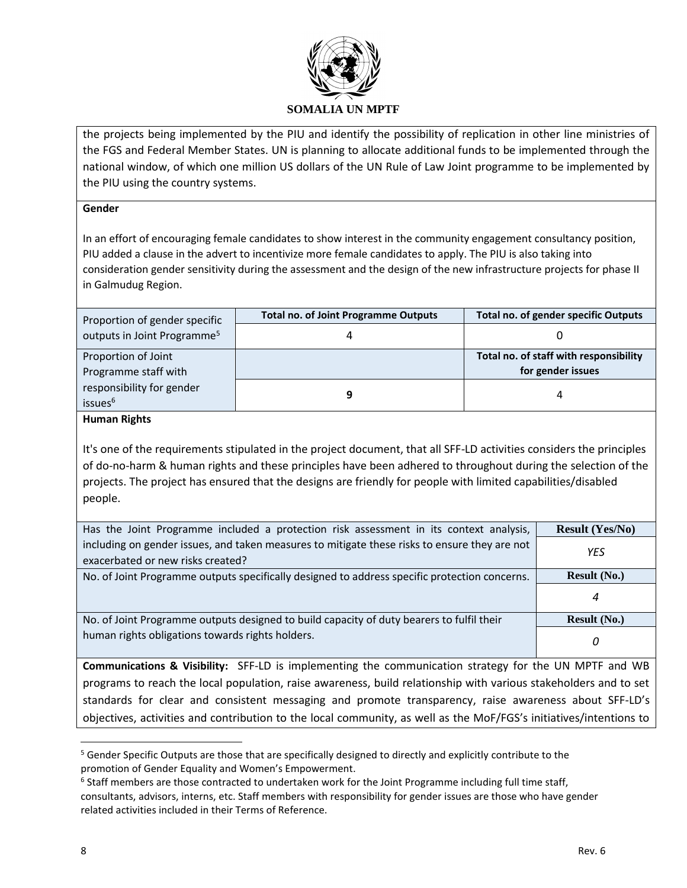

the projects being implemented by the PIU and identify the possibility of replication in other line ministries of the FGS and Federal Member States. UN is planning to allocate additional funds to be implemented through the national window, of which one million US dollars of the UN Rule of Law Joint programme to be implemented by the PIU using the country systems.

### **Gender**

In an effort of encouraging female candidates to show interest in the community engagement consultancy position, PIU added a clause in the advert to incentivize more female candidates to apply. The PIU is also taking into consideration gender sensitivity during the assessment and the design of the new infrastructure projects for phase II in Galmudug Region.

| Proportion of gender specific           | <b>Total no. of Joint Programme Outputs</b> | <b>Total no. of gender specific Outputs</b> |
|-----------------------------------------|---------------------------------------------|---------------------------------------------|
| outputs in Joint Programme <sup>5</sup> |                                             |                                             |
| Proportion of Joint                     |                                             | Total no. of staff with responsibility      |
| Programme staff with                    |                                             | for gender issues                           |
| responsibility for gender               |                                             |                                             |
| issues <sup>6</sup>                     |                                             |                                             |

**Human Rights**

It's one of the requirements stipulated in the project document, that all SFF-LD activities considers the principles of do-no-harm & human rights and these principles have been adhered to throughout during the selection of the projects. The project has ensured that the designs are friendly for people with limited capabilities/disabled people.

| Has the Joint Programme included a protection risk assessment in its context analysis,        | <b>Result (Yes/No)</b> |
|-----------------------------------------------------------------------------------------------|------------------------|
| including on gender issues, and taken measures to mitigate these risks to ensure they are not | YES                    |
| exacerbated or new risks created?                                                             |                        |
| No. of Joint Programme outputs specifically designed to address specific protection concerns. | <b>Result</b> $(No.)$  |
|                                                                                               | 4                      |
| No. of Joint Programme outputs designed to build capacity of duty bearers to fulfil their     | <b>Result (No.)</b>    |
| human rights obligations towards rights holders.                                              | 0                      |

**Communications & Visibility:** SFF-LD is implementing the communication strategy for the UN MPTF and WB programs to reach the local population, raise awareness, build relationship with various stakeholders and to set standards for clear and consistent messaging and promote transparency, raise awareness about SFF-LD's objectives, activities and contribution to the local community, as well as the MoF/FGS's initiatives/intentions to

 $\overline{\phantom{a}}$ 

<sup>&</sup>lt;sup>5</sup> Gender Specific Outputs are those that are specifically designed to directly and explicitly contribute to the promotion of Gender Equality and Women's Empowerment.

<sup>&</sup>lt;sup>6</sup> Staff members are those contracted to undertaken work for the Joint Programme including full time staff, consultants, advisors, interns, etc. Staff members with responsibility for gender issues are those who have gender related activities included in their Terms of Reference.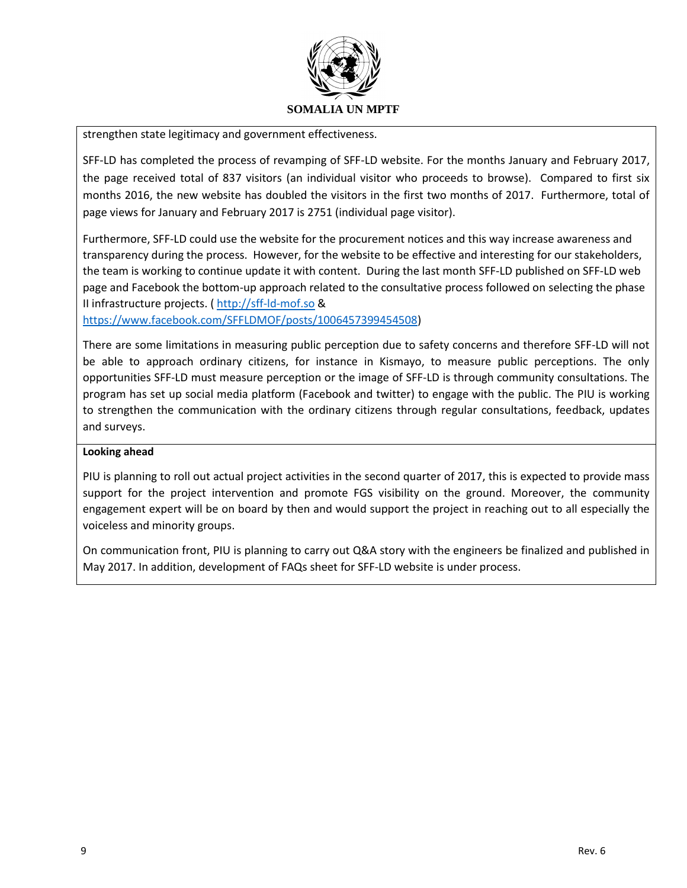

strengthen state legitimacy and government effectiveness.

SFF-LD has completed the process of revamping of SFF-LD website. For the months January and February 2017, the page received total of 837 visitors (an individual visitor who proceeds to browse). Compared to first six months 2016, the new website has doubled the visitors in the first two months of 2017. Furthermore, total of page views for January and February 2017 is 2751 (individual page visitor).

Furthermore, SFF-LD could use the website for the procurement notices and this way increase awareness and transparency during the process. However, for the website to be effective and interesting for our stakeholders, the team is working to continue update it with content. During the last month SFF-LD published on SFF-LD web page and Facebook the bottom-up approach related to the consultative process followed on selecting the phase II infrastructure projects. ( [http://sff-ld-mof.so](http://sff-ld-mof.so/) &

[https://www.facebook.com/SFFLDMOF/posts/1006457399454508\)](https://www.facebook.com/SFFLDMOF/posts/1006457399454508)

There are some limitations in measuring public perception due to safety concerns and therefore SFF-LD will not be able to approach ordinary citizens, for instance in Kismayo, to measure public perceptions. The only opportunities SFF-LD must measure perception or the image of SFF-LD is through community consultations. The program has set up social media platform (Facebook and twitter) to engage with the public. The PIU is working to strengthen the communication with the ordinary citizens through regular consultations, feedback, updates and surveys.

## **Looking ahead**

PIU is planning to roll out actual project activities in the second quarter of 2017, this is expected to provide mass support for the project intervention and promote FGS visibility on the ground. Moreover, the community engagement expert will be on board by then and would support the project in reaching out to all especially the voiceless and minority groups.

On communication front, PIU is planning to carry out Q&A story with the engineers be finalized and published in May 2017. In addition, development of FAQs sheet for SFF-LD website is under process.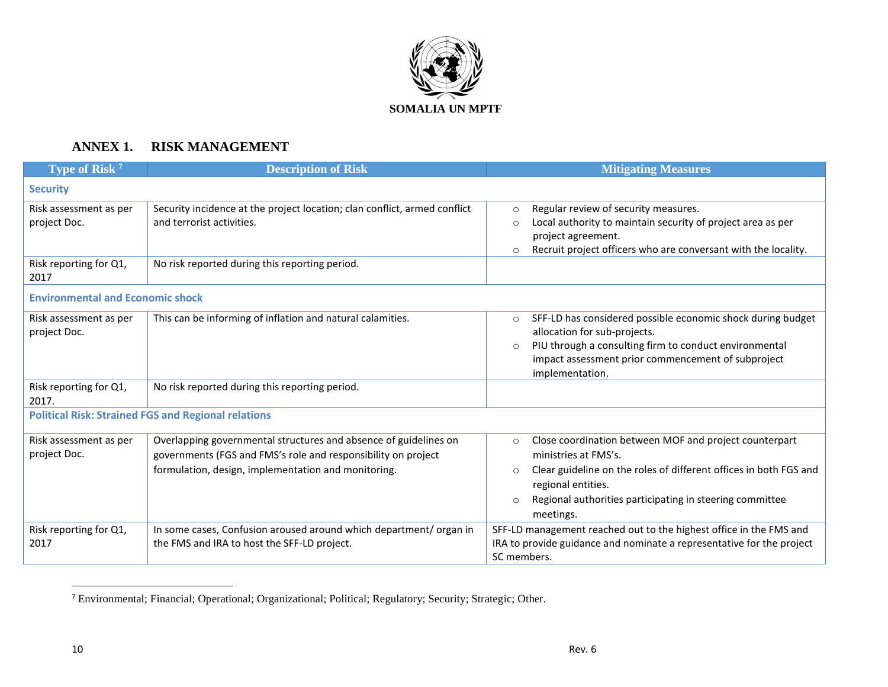

# **ANNEX 1. RISK MANAGEMENT**

| Type of Risk <sup>7</sup>               | <b>Description of Risk</b>                                                | <b>Mitigating Measures</b>                                                   |
|-----------------------------------------|---------------------------------------------------------------------------|------------------------------------------------------------------------------|
| <b>Security</b>                         |                                                                           |                                                                              |
| Risk assessment as per                  | Security incidence at the project location; clan conflict, armed conflict | Regular review of security measures.<br>$\circ$                              |
| project Doc.                            | and terrorist activities.                                                 | Local authority to maintain security of project area as per<br>$\Omega$      |
|                                         |                                                                           | project agreement.                                                           |
|                                         |                                                                           | Recruit project officers who are conversant with the locality.<br>$\circ$    |
| Risk reporting for Q1,<br>2017          | No risk reported during this reporting period.                            |                                                                              |
| <b>Environmental and Economic shock</b> |                                                                           |                                                                              |
| Risk assessment as per                  | This can be informing of inflation and natural calamities.                | SFF-LD has considered possible economic shock during budget<br>$\circ$       |
| project Doc.                            |                                                                           | allocation for sub-projects.                                                 |
|                                         |                                                                           | PIU through a consulting firm to conduct environmental<br>$\circ$            |
|                                         |                                                                           | impact assessment prior commencement of subproject                           |
| Risk reporting for Q1,                  | No risk reported during this reporting period.                            | implementation.                                                              |
| 2017.                                   |                                                                           |                                                                              |
|                                         | <b>Political Risk: Strained FGS and Regional relations</b>                |                                                                              |
|                                         |                                                                           |                                                                              |
| Risk assessment as per                  | Overlapping governmental structures and absence of guidelines on          | Close coordination between MOF and project counterpart<br>$\circ$            |
| project Doc.                            | governments (FGS and FMS's role and responsibility on project             | ministries at FMS's.                                                         |
|                                         | formulation, design, implementation and monitoring.                       | Clear guideline on the roles of different offices in both FGS and<br>$\circ$ |
|                                         |                                                                           | regional entities.                                                           |
|                                         |                                                                           | Regional authorities participating in steering committee<br>$\circ$          |
|                                         |                                                                           | meetings.                                                                    |
| Risk reporting for Q1,                  | In some cases, Confusion aroused around which department/organ in         | SFF-LD management reached out to the highest office in the FMS and           |
| 2017                                    | the FMS and IRA to host the SFF-LD project.                               | IRA to provide guidance and nominate a representative for the project        |
|                                         |                                                                           | SC members.                                                                  |

<sup>7</sup> Environmental; Financial; Operational; Organizational; Political; Regulatory; Security; Strategic; Other.

 $\overline{a}$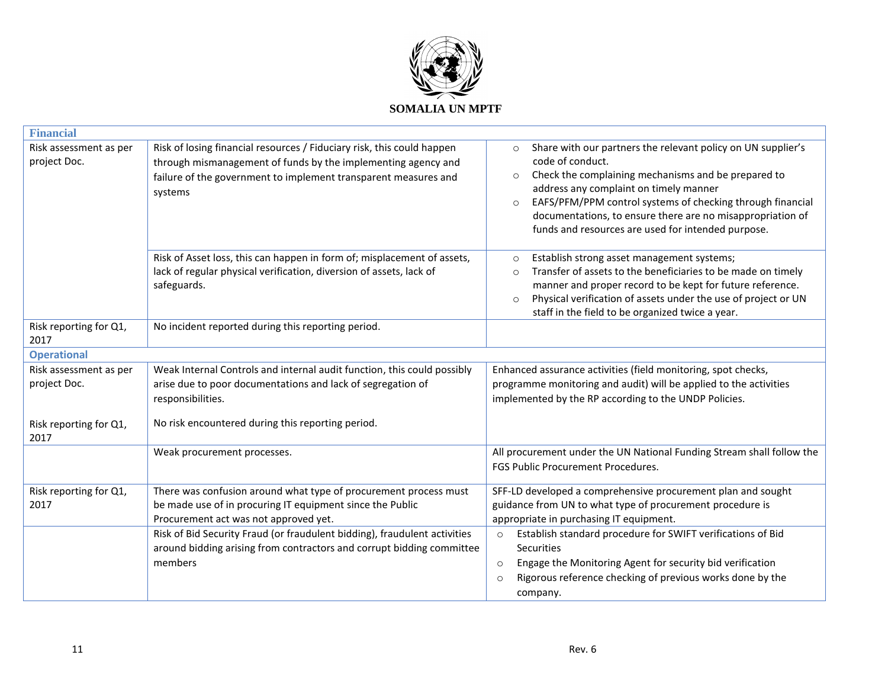

| <b>Financial</b>                       |                                                                                                                                                                                                                       |                                                                                                                                                                                                                                                                                                                                                                                                      |
|----------------------------------------|-----------------------------------------------------------------------------------------------------------------------------------------------------------------------------------------------------------------------|------------------------------------------------------------------------------------------------------------------------------------------------------------------------------------------------------------------------------------------------------------------------------------------------------------------------------------------------------------------------------------------------------|
| Risk assessment as per<br>project Doc. | Risk of losing financial resources / Fiduciary risk, this could happen<br>through mismanagement of funds by the implementing agency and<br>failure of the government to implement transparent measures and<br>systems | Share with our partners the relevant policy on UN supplier's<br>$\circ$<br>code of conduct.<br>Check the complaining mechanisms and be prepared to<br>$\circ$<br>address any complaint on timely manner<br>EAFS/PFM/PPM control systems of checking through financial<br>$\circ$<br>documentations, to ensure there are no misappropriation of<br>funds and resources are used for intended purpose. |
|                                        | Risk of Asset loss, this can happen in form of; misplacement of assets,<br>lack of regular physical verification, diversion of assets, lack of<br>safeguards.                                                         | Establish strong asset management systems;<br>$\circ$<br>Transfer of assets to the beneficiaries to be made on timely<br>$\circ$<br>manner and proper record to be kept for future reference.<br>Physical verification of assets under the use of project or UN<br>$\circ$<br>staff in the field to be organized twice a year.                                                                       |
| Risk reporting for Q1,<br>2017         | No incident reported during this reporting period.                                                                                                                                                                    |                                                                                                                                                                                                                                                                                                                                                                                                      |
| <b>Operational</b>                     |                                                                                                                                                                                                                       |                                                                                                                                                                                                                                                                                                                                                                                                      |
| Risk assessment as per<br>project Doc. | Weak Internal Controls and internal audit function, this could possibly<br>arise due to poor documentations and lack of segregation of<br>responsibilities.                                                           | Enhanced assurance activities (field monitoring, spot checks,<br>programme monitoring and audit) will be applied to the activities<br>implemented by the RP according to the UNDP Policies.                                                                                                                                                                                                          |
| Risk reporting for Q1,<br>2017         | No risk encountered during this reporting period.                                                                                                                                                                     |                                                                                                                                                                                                                                                                                                                                                                                                      |
|                                        | Weak procurement processes.                                                                                                                                                                                           | All procurement under the UN National Funding Stream shall follow the<br>FGS Public Procurement Procedures.                                                                                                                                                                                                                                                                                          |
| Risk reporting for Q1,<br>2017         | There was confusion around what type of procurement process must<br>be made use of in procuring IT equipment since the Public<br>Procurement act was not approved yet.                                                | SFF-LD developed a comprehensive procurement plan and sought<br>guidance from UN to what type of procurement procedure is<br>appropriate in purchasing IT equipment.                                                                                                                                                                                                                                 |
|                                        | Risk of Bid Security Fraud (or fraudulent bidding), fraudulent activities<br>around bidding arising from contractors and corrupt bidding committee<br>members                                                         | Establish standard procedure for SWIFT verifications of Bid<br>$\circ$<br>Securities<br>Engage the Monitoring Agent for security bid verification<br>$\circ$<br>Rigorous reference checking of previous works done by the<br>$\Omega$<br>company.                                                                                                                                                    |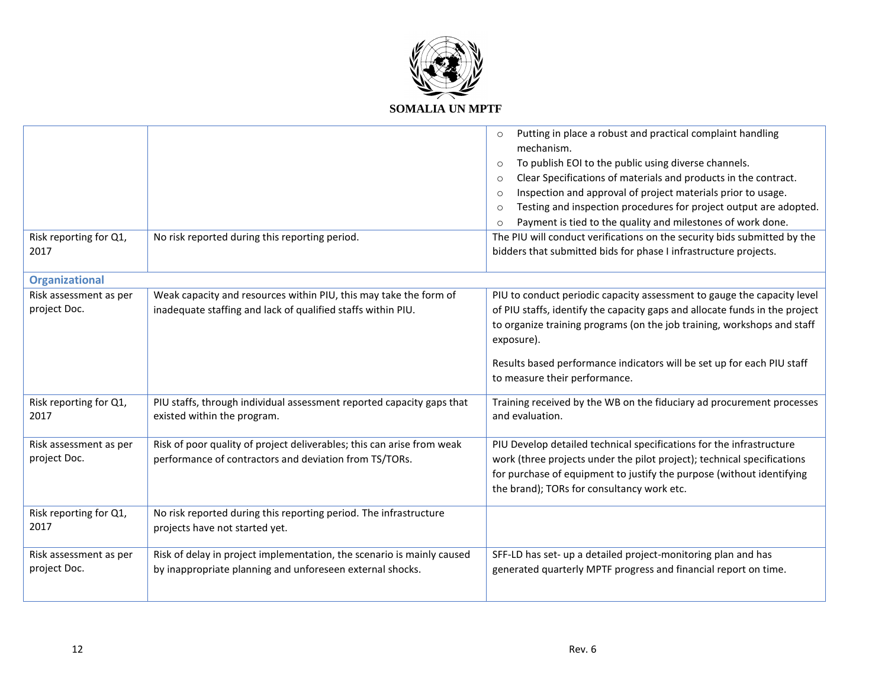

| Risk reporting for Q1,                 | No risk reported during this reporting period.                                                                                      | Putting in place a robust and practical complaint handling<br>$\circ$<br>mechanism.<br>To publish EOI to the public using diverse channels.<br>$\circ$<br>Clear Specifications of materials and products in the contract.<br>$\circ$<br>Inspection and approval of project materials prior to usage.<br>$\circ$<br>Testing and inspection procedures for project output are adopted.<br>$\circ$<br>Payment is tied to the quality and milestones of work done.<br>$\circ$<br>The PIU will conduct verifications on the security bids submitted by the |
|----------------------------------------|-------------------------------------------------------------------------------------------------------------------------------------|-------------------------------------------------------------------------------------------------------------------------------------------------------------------------------------------------------------------------------------------------------------------------------------------------------------------------------------------------------------------------------------------------------------------------------------------------------------------------------------------------------------------------------------------------------|
| 2017                                   |                                                                                                                                     | bidders that submitted bids for phase I infrastructure projects.                                                                                                                                                                                                                                                                                                                                                                                                                                                                                      |
| <b>Organizational</b>                  |                                                                                                                                     |                                                                                                                                                                                                                                                                                                                                                                                                                                                                                                                                                       |
| Risk assessment as per<br>project Doc. | Weak capacity and resources within PIU, this may take the form of<br>inadequate staffing and lack of qualified staffs within PIU.   | PIU to conduct periodic capacity assessment to gauge the capacity level<br>of PIU staffs, identify the capacity gaps and allocate funds in the project<br>to organize training programs (on the job training, workshops and staff<br>exposure).<br>Results based performance indicators will be set up for each PIU staff                                                                                                                                                                                                                             |
|                                        |                                                                                                                                     | to measure their performance.                                                                                                                                                                                                                                                                                                                                                                                                                                                                                                                         |
| Risk reporting for Q1,<br>2017         | PIU staffs, through individual assessment reported capacity gaps that<br>existed within the program.                                | Training received by the WB on the fiduciary ad procurement processes<br>and evaluation.                                                                                                                                                                                                                                                                                                                                                                                                                                                              |
| Risk assessment as per<br>project Doc. | Risk of poor quality of project deliverables; this can arise from weak<br>performance of contractors and deviation from TS/TORs.    | PIU Develop detailed technical specifications for the infrastructure<br>work (three projects under the pilot project); technical specifications<br>for purchase of equipment to justify the purpose (without identifying<br>the brand); TORs for consultancy work etc.                                                                                                                                                                                                                                                                                |
| Risk reporting for Q1,<br>2017         | No risk reported during this reporting period. The infrastructure<br>projects have not started yet.                                 |                                                                                                                                                                                                                                                                                                                                                                                                                                                                                                                                                       |
| Risk assessment as per<br>project Doc. | Risk of delay in project implementation, the scenario is mainly caused<br>by inappropriate planning and unforeseen external shocks. | SFF-LD has set- up a detailed project-monitoring plan and has<br>generated quarterly MPTF progress and financial report on time.                                                                                                                                                                                                                                                                                                                                                                                                                      |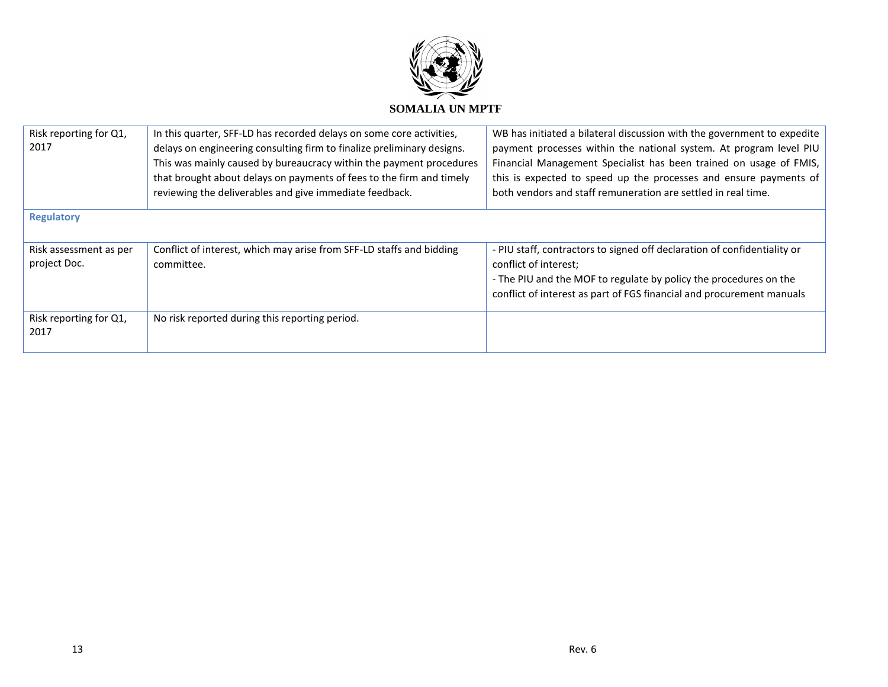

| Risk reporting for Q1,<br>2017         | In this quarter, SFF-LD has recorded delays on some core activities,<br>delays on engineering consulting firm to finalize preliminary designs.<br>This was mainly caused by bureaucracy within the payment procedures<br>that brought about delays on payments of fees to the firm and timely<br>reviewing the deliverables and give immediate feedback. | WB has initiated a bilateral discussion with the government to expedite<br>payment processes within the national system. At program level PIU<br>Financial Management Specialist has been trained on usage of FMIS,<br>this is expected to speed up the processes and ensure payments of<br>both vendors and staff remuneration are settled in real time. |  |  |  |  |
|----------------------------------------|----------------------------------------------------------------------------------------------------------------------------------------------------------------------------------------------------------------------------------------------------------------------------------------------------------------------------------------------------------|-----------------------------------------------------------------------------------------------------------------------------------------------------------------------------------------------------------------------------------------------------------------------------------------------------------------------------------------------------------|--|--|--|--|
| <b>Regulatory</b>                      |                                                                                                                                                                                                                                                                                                                                                          |                                                                                                                                                                                                                                                                                                                                                           |  |  |  |  |
| Risk assessment as per<br>project Doc. | Conflict of interest, which may arise from SFF-LD staffs and bidding<br>committee.                                                                                                                                                                                                                                                                       | - PIU staff, contractors to signed off declaration of confidentiality or<br>conflict of interest;<br>- The PIU and the MOF to regulate by policy the procedures on the<br>conflict of interest as part of FGS financial and procurement manuals                                                                                                           |  |  |  |  |
| Risk reporting for Q1,<br>2017         | No risk reported during this reporting period.                                                                                                                                                                                                                                                                                                           |                                                                                                                                                                                                                                                                                                                                                           |  |  |  |  |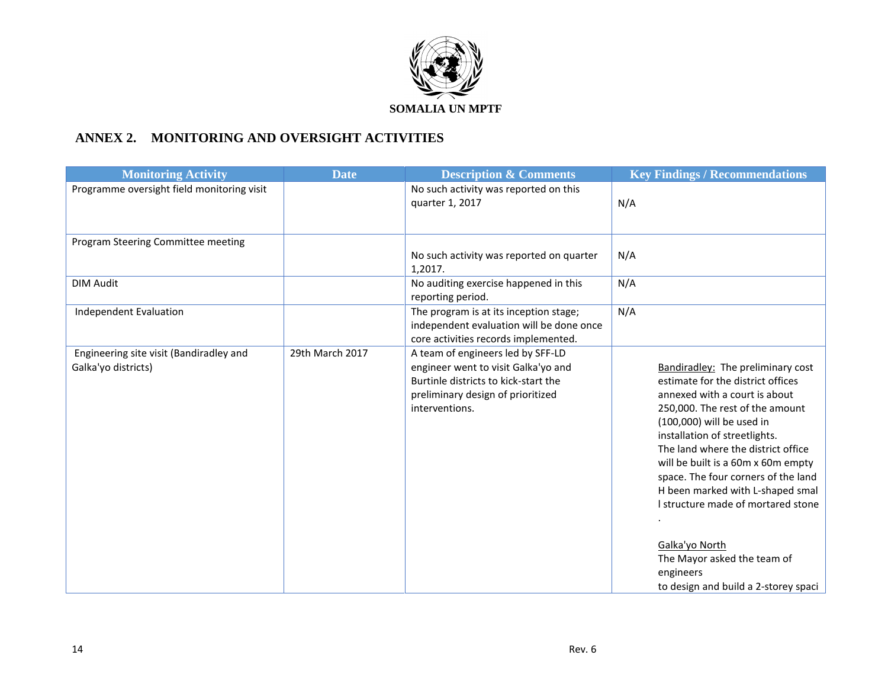

## **ANNEX 2. MONITORING AND OVERSIGHT ACTIVITIES**

| <b>Monitoring Activity</b>                                     | <b>Date</b>     | <b>Description &amp; Comments</b>                                                                                                                                       | <b>Key Findings / Recommendations</b>                                                                                                                                                                                                                                                                                                                                                                                                                                                                              |
|----------------------------------------------------------------|-----------------|-------------------------------------------------------------------------------------------------------------------------------------------------------------------------|--------------------------------------------------------------------------------------------------------------------------------------------------------------------------------------------------------------------------------------------------------------------------------------------------------------------------------------------------------------------------------------------------------------------------------------------------------------------------------------------------------------------|
| Programme oversight field monitoring visit                     |                 | No such activity was reported on this<br>quarter 1, 2017                                                                                                                | N/A                                                                                                                                                                                                                                                                                                                                                                                                                                                                                                                |
| Program Steering Committee meeting                             |                 |                                                                                                                                                                         |                                                                                                                                                                                                                                                                                                                                                                                                                                                                                                                    |
|                                                                |                 | No such activity was reported on quarter<br>1,2017.                                                                                                                     | N/A                                                                                                                                                                                                                                                                                                                                                                                                                                                                                                                |
| <b>DIM Audit</b>                                               |                 | No auditing exercise happened in this<br>reporting period.                                                                                                              | N/A                                                                                                                                                                                                                                                                                                                                                                                                                                                                                                                |
| <b>Independent Evaluation</b>                                  |                 | The program is at its inception stage;<br>independent evaluation will be done once<br>core activities records implemented.                                              | N/A                                                                                                                                                                                                                                                                                                                                                                                                                                                                                                                |
| Engineering site visit (Bandiradley and<br>Galka'yo districts) | 29th March 2017 | A team of engineers led by SFF-LD<br>engineer went to visit Galka'yo and<br>Burtinle districts to kick-start the<br>preliminary design of prioritized<br>interventions. | <b>Bandiradley:</b> The preliminary cost<br>estimate for the district offices<br>annexed with a court is about<br>250,000. The rest of the amount<br>(100,000) will be used in<br>installation of streetlights.<br>The land where the district office<br>will be built is a 60m x 60m empty<br>space. The four corners of the land<br>H been marked with L-shaped smal<br>I structure made of mortared stone<br>Galka'yo North<br>The Mayor asked the team of<br>engineers<br>to design and build a 2-storey spaci |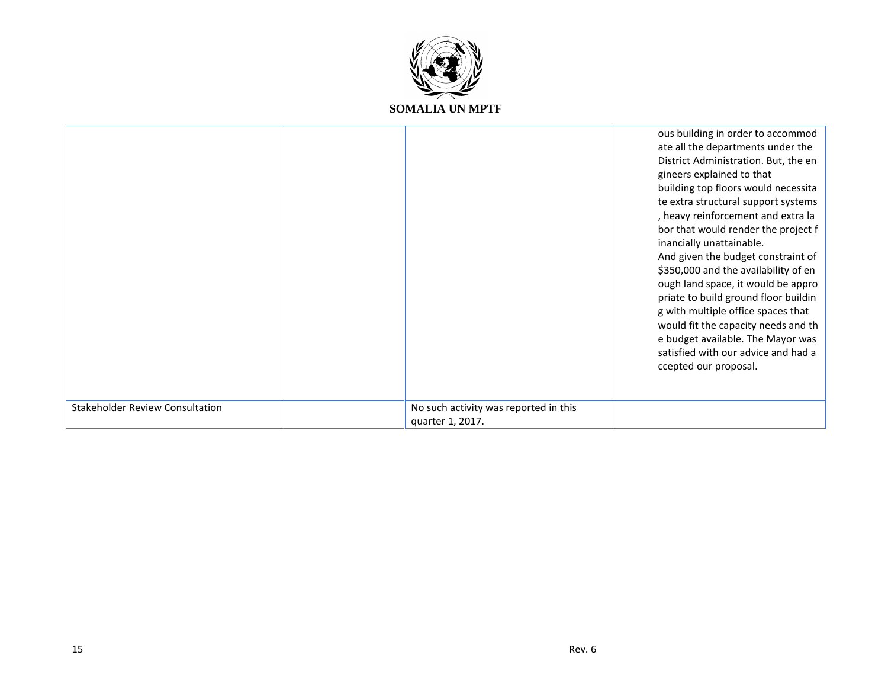

|                                        |                                                           | ous building in order to accommod<br>ate all the departments under the<br>District Administration. But, the en<br>gineers explained to that<br>building top floors would necessita<br>te extra structural support systems<br>, heavy reinforcement and extra la<br>bor that would render the project f<br>inancially unattainable.<br>And given the budget constraint of<br>\$350,000 and the availability of en<br>ough land space, it would be appro<br>priate to build ground floor buildin<br>g with multiple office spaces that<br>would fit the capacity needs and th<br>e budget available. The Mayor was<br>satisfied with our advice and had a<br>ccepted our proposal. |
|----------------------------------------|-----------------------------------------------------------|----------------------------------------------------------------------------------------------------------------------------------------------------------------------------------------------------------------------------------------------------------------------------------------------------------------------------------------------------------------------------------------------------------------------------------------------------------------------------------------------------------------------------------------------------------------------------------------------------------------------------------------------------------------------------------|
| <b>Stakeholder Review Consultation</b> | No such activity was reported in this<br>quarter 1, 2017. |                                                                                                                                                                                                                                                                                                                                                                                                                                                                                                                                                                                                                                                                                  |